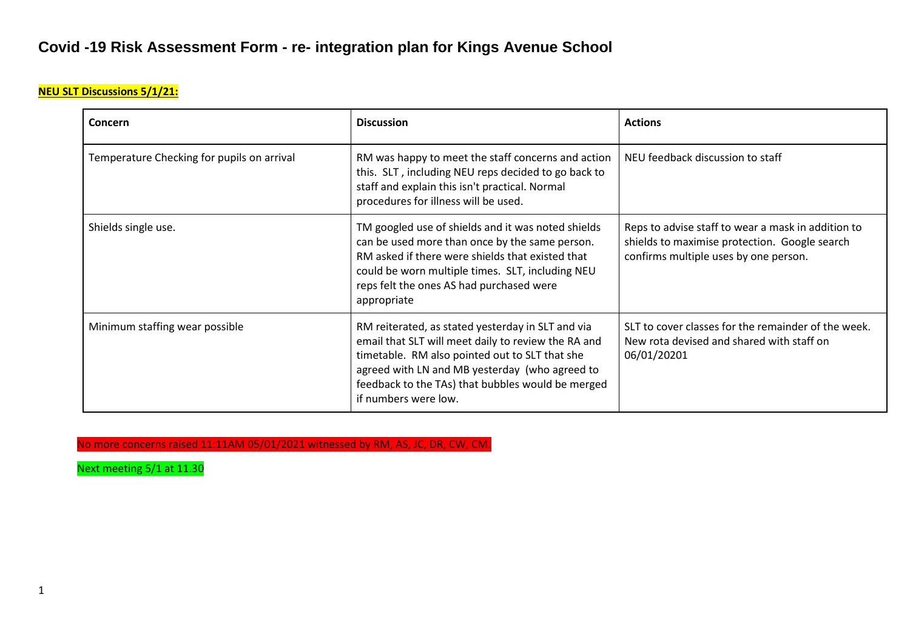## **NEU SLT Discussions 5/1/21:**

| Concern                                    | <b>Discussion</b>                                                                                                                                                                                                                                                                         | <b>Actions</b>                                                                                                                               |
|--------------------------------------------|-------------------------------------------------------------------------------------------------------------------------------------------------------------------------------------------------------------------------------------------------------------------------------------------|----------------------------------------------------------------------------------------------------------------------------------------------|
| Temperature Checking for pupils on arrival | RM was happy to meet the staff concerns and action<br>this. SLT, including NEU reps decided to go back to<br>staff and explain this isn't practical. Normal<br>procedures for illness will be used.                                                                                       | NEU feedback discussion to staff                                                                                                             |
| Shields single use.                        | TM googled use of shields and it was noted shields<br>can be used more than once by the same person.<br>RM asked if there were shields that existed that<br>could be worn multiple times. SLT, including NEU<br>reps felt the ones AS had purchased were<br>appropriate                   | Reps to advise staff to wear a mask in addition to<br>shields to maximise protection. Google search<br>confirms multiple uses by one person. |
| Minimum staffing wear possible             | RM reiterated, as stated yesterday in SLT and via<br>email that SLT will meet daily to review the RA and<br>timetable. RM also pointed out to SLT that she<br>agreed with LN and MB yesterday (who agreed to<br>feedback to the TAs) that bubbles would be merged<br>if numbers were low. | SLT to cover classes for the remainder of the week.<br>New rota devised and shared with staff on<br>06/01/20201                              |

No more concerns raised 11:11AM 05/01/2021 witnessed by RM, AS, JC, DR, CW, CM.

Next meeting 5/1 at 11.30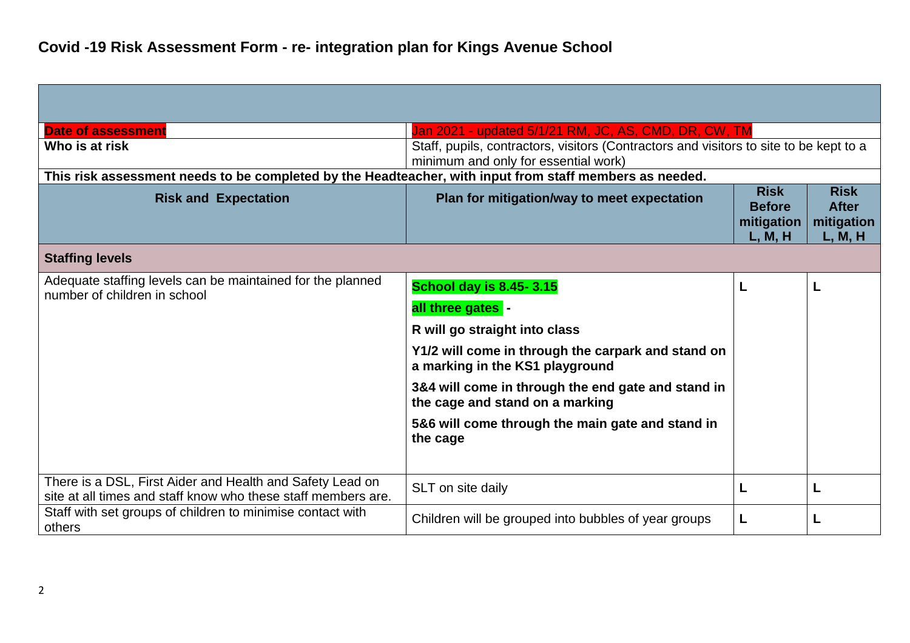| <b>Date of assessment</b>                                                                                                  | Jan 2021 - updated 5/1/21 RM, JC, AS, CMD, DR, CW, TM                                                                          |                                                       |                                                      |
|----------------------------------------------------------------------------------------------------------------------------|--------------------------------------------------------------------------------------------------------------------------------|-------------------------------------------------------|------------------------------------------------------|
| Who is at risk                                                                                                             | Staff, pupils, contractors, visitors (Contractors and visitors to site to be kept to a<br>minimum and only for essential work) |                                                       |                                                      |
| This risk assessment needs to be completed by the Headteacher, with input from staff members as needed.                    |                                                                                                                                |                                                       |                                                      |
| <b>Risk and Expectation</b>                                                                                                | Plan for mitigation/way to meet expectation                                                                                    | <b>Risk</b><br><b>Before</b><br>mitigation<br>L, M, H | <b>Risk</b><br><b>After</b><br>mitigation<br>L, M, H |
| <b>Staffing levels</b>                                                                                                     |                                                                                                                                |                                                       |                                                      |
| Adequate staffing levels can be maintained for the planned<br>number of children in school                                 | <b>School day is 8.45-3.15</b>                                                                                                 | L                                                     |                                                      |
|                                                                                                                            | all three gates -                                                                                                              |                                                       |                                                      |
|                                                                                                                            | R will go straight into class                                                                                                  |                                                       |                                                      |
|                                                                                                                            | Y1/2 will come in through the carpark and stand on<br>a marking in the KS1 playground                                          |                                                       |                                                      |
|                                                                                                                            | 3&4 will come in through the end gate and stand in<br>the cage and stand on a marking                                          |                                                       |                                                      |
|                                                                                                                            | 5&6 will come through the main gate and stand in<br>the cage                                                                   |                                                       |                                                      |
| There is a DSL, First Aider and Health and Safety Lead on<br>site at all times and staff know who these staff members are. | SLT on site daily                                                                                                              | L                                                     | L                                                    |
| Staff with set groups of children to minimise contact with<br>others                                                       | Children will be grouped into bubbles of year groups                                                                           | L                                                     |                                                      |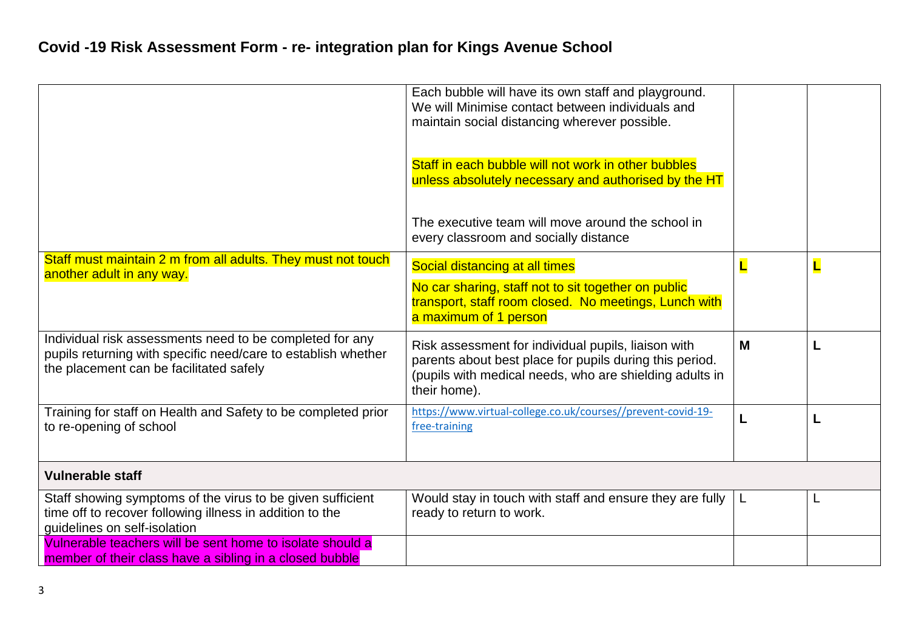|                                                                                                                                                                      | Each bubble will have its own staff and playground.<br>We will Minimise contact between individuals and<br>maintain social distancing wherever possible.<br>Staff in each bubble will not work in other bubbles<br>unless absolutely necessary and authorised by the HT |             |   |
|----------------------------------------------------------------------------------------------------------------------------------------------------------------------|-------------------------------------------------------------------------------------------------------------------------------------------------------------------------------------------------------------------------------------------------------------------------|-------------|---|
|                                                                                                                                                                      | The executive team will move around the school in<br>every classroom and socially distance                                                                                                                                                                              |             |   |
| Staff must maintain 2 m from all adults. They must not touch<br>another adult in any way.                                                                            | Social distancing at all times<br>No car sharing, staff not to sit together on public<br>transport, staff room closed. No meetings, Lunch with<br>a maximum of 1 person                                                                                                 | $\mathbf L$ | L |
| Individual risk assessments need to be completed for any<br>pupils returning with specific need/care to establish whether<br>the placement can be facilitated safely | Risk assessment for individual pupils, liaison with<br>parents about best place for pupils during this period.<br>(pupils with medical needs, who are shielding adults in<br>their home).                                                                               | M           |   |
| Training for staff on Health and Safety to be completed prior<br>to re-opening of school                                                                             | https://www.virtual-college.co.uk/courses//prevent-covid-19-<br>free-training                                                                                                                                                                                           |             |   |
| <b>Vulnerable staff</b>                                                                                                                                              |                                                                                                                                                                                                                                                                         |             |   |
| Staff showing symptoms of the virus to be given sufficient<br>time off to recover following illness in addition to the<br>guidelines on self-isolation               | Would stay in touch with staff and ensure they are fully $ L $<br>ready to return to work.                                                                                                                                                                              |             | ┗ |
| Vulnerable teachers will be sent home to isolate should a<br>member of their class have a sibling in a closed bubble                                                 |                                                                                                                                                                                                                                                                         |             |   |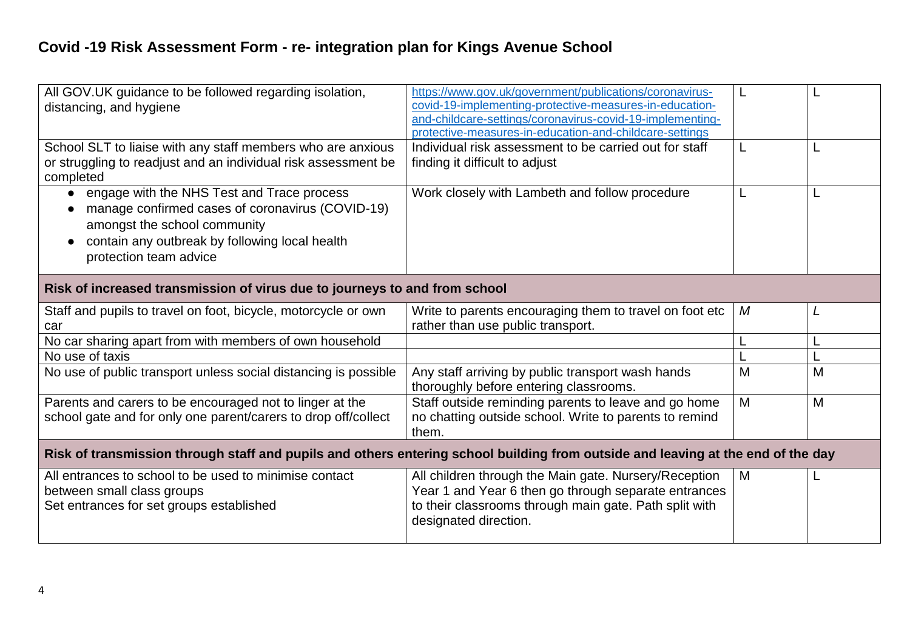| All GOV.UK guidance to be followed regarding isolation,<br>distancing, and hygiene                                                                                                                                      | https://www.gov.uk/government/publications/coronavirus-<br>covid-19-implementing-protective-measures-in-education-<br>and-childcare-settings/coronavirus-covid-19-implementing-<br>protective-measures-in-education-and-childcare-settings |   |   |
|-------------------------------------------------------------------------------------------------------------------------------------------------------------------------------------------------------------------------|--------------------------------------------------------------------------------------------------------------------------------------------------------------------------------------------------------------------------------------------|---|---|
| School SLT to liaise with any staff members who are anxious<br>or struggling to readjust and an individual risk assessment be<br>completed                                                                              | Individual risk assessment to be carried out for staff<br>finding it difficult to adjust                                                                                                                                                   | L |   |
| engage with the NHS Test and Trace process<br>$\bullet$<br>manage confirmed cases of coronavirus (COVID-19)<br>amongst the school community<br>contain any outbreak by following local health<br>protection team advice | Work closely with Lambeth and follow procedure                                                                                                                                                                                             | L |   |
| Risk of increased transmission of virus due to journeys to and from school                                                                                                                                              |                                                                                                                                                                                                                                            |   |   |
| Staff and pupils to travel on foot, bicycle, motorcycle or own<br>car                                                                                                                                                   | Write to parents encouraging them to travel on foot etc<br>rather than use public transport.                                                                                                                                               | М | L |
| No car sharing apart from with members of own household                                                                                                                                                                 |                                                                                                                                                                                                                                            |   |   |
| No use of taxis                                                                                                                                                                                                         |                                                                                                                                                                                                                                            |   |   |
| No use of public transport unless social distancing is possible                                                                                                                                                         | Any staff arriving by public transport wash hands<br>thoroughly before entering classrooms.                                                                                                                                                | M | M |
| Parents and carers to be encouraged not to linger at the<br>school gate and for only one parent/carers to drop off/collect                                                                                              | Staff outside reminding parents to leave and go home<br>no chatting outside school. Write to parents to remind<br>them.                                                                                                                    | M | M |
| Risk of transmission through staff and pupils and others entering school building from outside and leaving at the end of the day                                                                                        |                                                                                                                                                                                                                                            |   |   |
| All entrances to school to be used to minimise contact<br>between small class groups<br>Set entrances for set groups established                                                                                        | All children through the Main gate. Nursery/Reception<br>Year 1 and Year 6 then go through separate entrances<br>to their classrooms through main gate. Path split with<br>designated direction.                                           | M |   |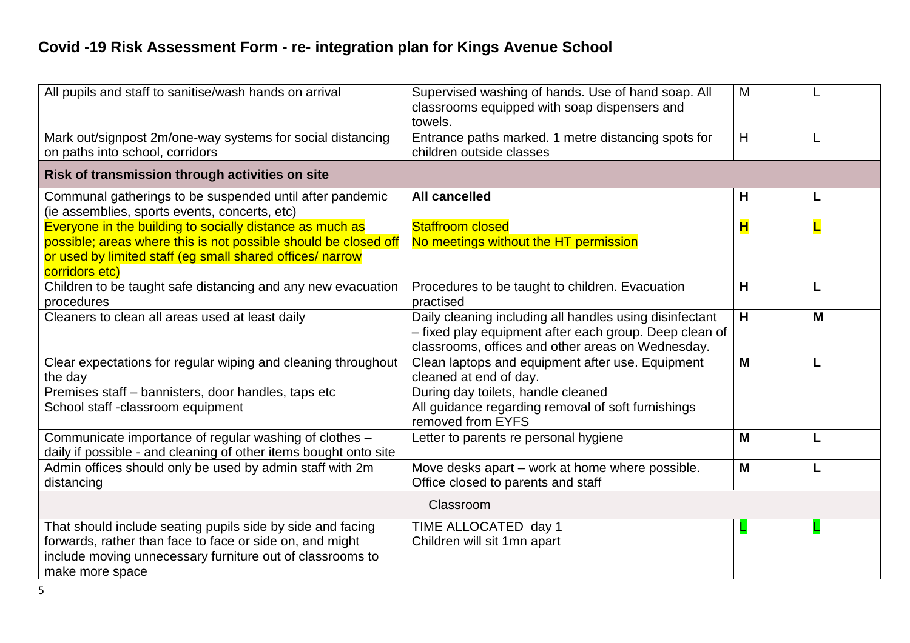| All pupils and staff to sanitise/wash hands on arrival                                                                                                                                                     | Supervised washing of hands. Use of hand soap. All<br>classrooms equipped with soap dispensers and<br>towels.                                                                               | M |   |
|------------------------------------------------------------------------------------------------------------------------------------------------------------------------------------------------------------|---------------------------------------------------------------------------------------------------------------------------------------------------------------------------------------------|---|---|
| Mark out/signpost 2m/one-way systems for social distancing<br>on paths into school, corridors                                                                                                              | Entrance paths marked. 1 metre distancing spots for<br>children outside classes                                                                                                             | H | L |
| Risk of transmission through activities on site                                                                                                                                                            |                                                                                                                                                                                             |   |   |
| Communal gatherings to be suspended until after pandemic<br>(ie assemblies, sports events, concerts, etc)                                                                                                  | <b>All cancelled</b>                                                                                                                                                                        | H | L |
| Everyone in the building to socially distance as much as<br>possible; areas where this is not possible should be closed off<br>or used by limited staff (eg small shared offices/ narrow<br>corridors etc) | <b>Staffroom closed</b><br>No meetings without the HT permission                                                                                                                            | H | L |
| Children to be taught safe distancing and any new evacuation<br>procedures                                                                                                                                 | Procedures to be taught to children. Evacuation<br>practised                                                                                                                                | H | L |
| Cleaners to clean all areas used at least daily                                                                                                                                                            | Daily cleaning including all handles using disinfectant<br>- fixed play equipment after each group. Deep clean of<br>classrooms, offices and other areas on Wednesday.                      | H | M |
| Clear expectations for regular wiping and cleaning throughout<br>the day<br>Premises staff - bannisters, door handles, taps etc<br>School staff -classroom equipment                                       | Clean laptops and equipment after use. Equipment<br>cleaned at end of day.<br>During day toilets, handle cleaned<br>All guidance regarding removal of soft furnishings<br>removed from EYFS | M | L |
| Communicate importance of regular washing of clothes -<br>daily if possible - and cleaning of other items bought onto site                                                                                 | Letter to parents re personal hygiene                                                                                                                                                       | M | L |
| Admin offices should only be used by admin staff with 2m<br>distancing                                                                                                                                     | Move desks apart - work at home where possible.<br>Office closed to parents and staff                                                                                                       | M | L |
| Classroom                                                                                                                                                                                                  |                                                                                                                                                                                             |   |   |
| That should include seating pupils side by side and facing<br>forwards, rather than face to face or side on, and might<br>include moving unnecessary furniture out of classrooms to<br>make more space     | TIME ALLOCATED day 1<br>Children will sit 1mn apart                                                                                                                                         | ц |   |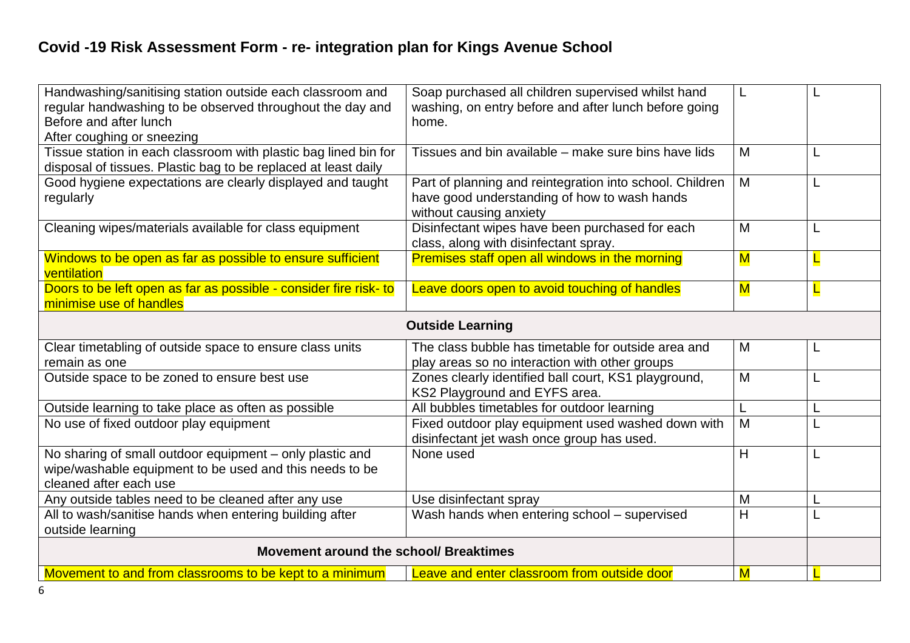| Handwashing/sanitising station outside each classroom and<br>regular handwashing to be observed throughout the day and<br>Before and after lunch<br>After coughing or sneezing | Soap purchased all children supervised whilst hand<br>washing, on entry before and after lunch before going<br>home.                |                         |   |
|--------------------------------------------------------------------------------------------------------------------------------------------------------------------------------|-------------------------------------------------------------------------------------------------------------------------------------|-------------------------|---|
| Tissue station in each classroom with plastic bag lined bin for<br>disposal of tissues. Plastic bag to be replaced at least daily                                              | Tissues and bin available – make sure bins have lids                                                                                | M                       | L |
| Good hygiene expectations are clearly displayed and taught<br>regularly                                                                                                        | Part of planning and reintegration into school. Children<br>have good understanding of how to wash hands<br>without causing anxiety | M                       |   |
| Cleaning wipes/materials available for class equipment                                                                                                                         | Disinfectant wipes have been purchased for each<br>class, along with disinfectant spray.                                            | M                       | L |
| Windows to be open as far as possible to ensure sufficient<br>ventilation                                                                                                      | Premises staff open all windows in the morning                                                                                      | $\overline{\mathsf{M}}$ |   |
| Doors to be left open as far as possible - consider fire risk- to<br>minimise use of handles                                                                                   | Leave doors open to avoid touching of handles                                                                                       | $\overline{\mathsf{M}}$ |   |
|                                                                                                                                                                                | <b>Outside Learning</b>                                                                                                             |                         |   |
| Clear timetabling of outside space to ensure class units<br>remain as one                                                                                                      | The class bubble has timetable for outside area and<br>play areas so no interaction with other groups                               | M                       | L |
| Outside space to be zoned to ensure best use                                                                                                                                   | Zones clearly identified ball court, KS1 playground,<br>KS2 Playground and EYFS area.                                               | M                       | L |
| Outside learning to take place as often as possible                                                                                                                            | All bubbles timetables for outdoor learning                                                                                         |                         |   |
| No use of fixed outdoor play equipment                                                                                                                                         | Fixed outdoor play equipment used washed down with<br>disinfectant jet wash once group has used.                                    | M                       |   |
| No sharing of small outdoor equipment - only plastic and<br>wipe/washable equipment to be used and this needs to be<br>cleaned after each use                                  | None used                                                                                                                           | H                       | L |
| Any outside tables need to be cleaned after any use                                                                                                                            | Use disinfectant spray                                                                                                              | M                       |   |
| All to wash/sanitise hands when entering building after<br>outside learning                                                                                                    | Wash hands when entering school - supervised                                                                                        | H                       |   |
| Movement around the school/ Breaktimes                                                                                                                                         |                                                                                                                                     |                         |   |
| Movement to and from classrooms to be kept to a minimum                                                                                                                        |                                                                                                                                     |                         |   |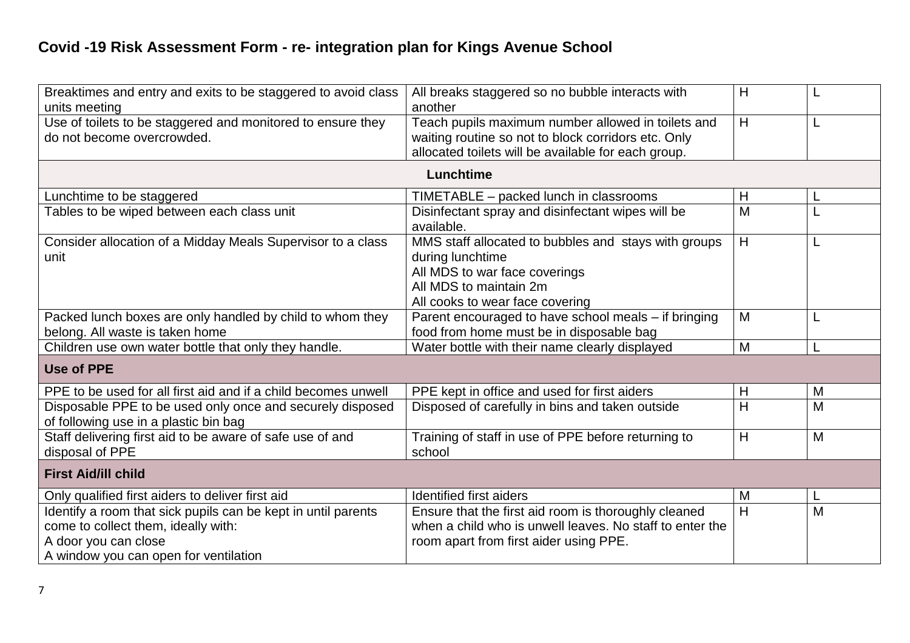| Breaktimes and entry and exits to be staggered to avoid class                                      | All breaks staggered so no bubble interacts with         | H |   |
|----------------------------------------------------------------------------------------------------|----------------------------------------------------------|---|---|
| units meeting                                                                                      | another                                                  |   |   |
| Use of toilets to be staggered and monitored to ensure they                                        | Teach pupils maximum number allowed in toilets and       | H | L |
| do not become overcrowded.                                                                         | waiting routine so not to block corridors etc. Only      |   |   |
|                                                                                                    | allocated toilets will be available for each group.      |   |   |
|                                                                                                    | Lunchtime                                                |   |   |
| Lunchtime to be staggered                                                                          | TIMETABLE - packed lunch in classrooms                   | H |   |
| Tables to be wiped between each class unit                                                         | Disinfectant spray and disinfectant wipes will be        | M |   |
|                                                                                                    | available.                                               |   |   |
| Consider allocation of a Midday Meals Supervisor to a class                                        | MMS staff allocated to bubbles and stays with groups     | H | L |
| unit                                                                                               | during lunchtime                                         |   |   |
|                                                                                                    | All MDS to war face coverings                            |   |   |
|                                                                                                    | All MDS to maintain 2m                                   |   |   |
|                                                                                                    | All cooks to wear face covering                          |   |   |
| Packed lunch boxes are only handled by child to whom they                                          | Parent encouraged to have school meals - if bringing     | M |   |
| belong. All waste is taken home                                                                    | food from home must be in disposable bag                 |   |   |
|                                                                                                    |                                                          | M |   |
| Children use own water bottle that only they handle.                                               | Water bottle with their name clearly displayed           |   |   |
| <b>Use of PPE</b>                                                                                  |                                                          |   |   |
| PPE to be used for all first aid and if a child becomes unwell                                     | PPE kept in office and used for first aiders             | H | M |
| Disposable PPE to be used only once and securely disposed<br>of following use in a plastic bin bag | Disposed of carefully in bins and taken outside          | H | M |
| Staff delivering first aid to be aware of safe use of and                                          | Training of staff in use of PPE before returning to      | H | M |
| disposal of PPE                                                                                    | school                                                   |   |   |
|                                                                                                    |                                                          |   |   |
| <b>First Aid/ill child</b>                                                                         |                                                          |   |   |
| Only qualified first aiders to deliver first aid                                                   | Identified first aiders                                  | M | L |
| Identify a room that sick pupils can be kept in until parents                                      | Ensure that the first aid room is thoroughly cleaned     | H | M |
| come to collect them, ideally with:                                                                | when a child who is unwell leaves. No staff to enter the |   |   |
| A door you can close                                                                               | room apart from first aider using PPE.                   |   |   |
| A window you can open for ventilation                                                              |                                                          |   |   |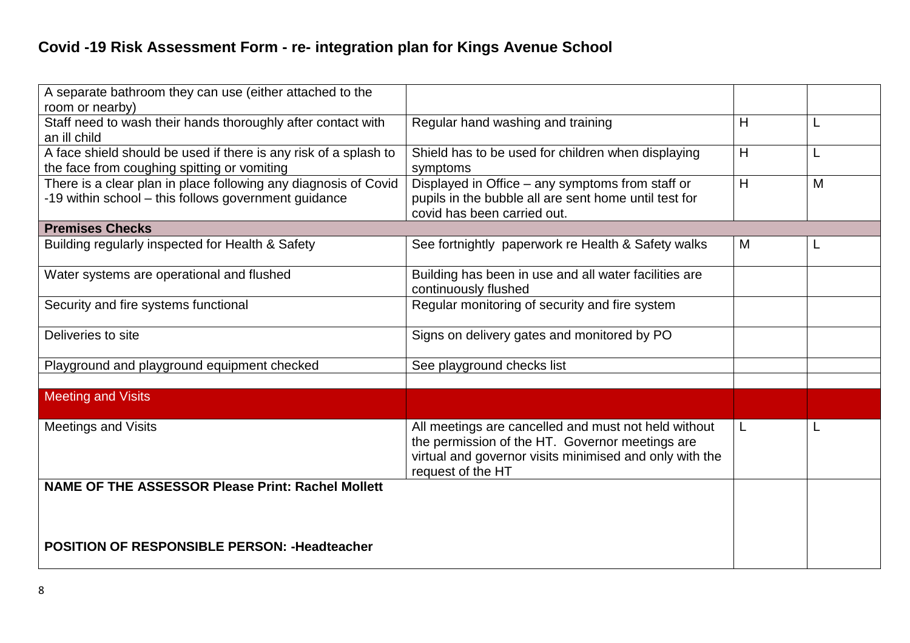| A separate bathroom they can use (either attached to the<br>room or nearby) |                                                                               |                |   |
|-----------------------------------------------------------------------------|-------------------------------------------------------------------------------|----------------|---|
| Staff need to wash their hands thoroughly after contact with                | Regular hand washing and training                                             | H              | L |
| an ill child                                                                |                                                                               |                |   |
| A face shield should be used if there is any risk of a splash to            | Shield has to be used for children when displaying                            | $\overline{H}$ |   |
| the face from coughing spitting or vomiting                                 | symptoms                                                                      |                |   |
| There is a clear plan in place following any diagnosis of Covid             | Displayed in Office - any symptoms from staff or                              | H              | M |
| -19 within school - this follows government guidance                        | pupils in the bubble all are sent home until test for                         |                |   |
|                                                                             | covid has been carried out.                                                   |                |   |
| <b>Premises Checks</b>                                                      |                                                                               |                |   |
| Building regularly inspected for Health & Safety                            | See fortnightly paperwork re Health & Safety walks                            | M              |   |
| Water systems are operational and flushed                                   | Building has been in use and all water facilities are<br>continuously flushed |                |   |
| Security and fire systems functional                                        | Regular monitoring of security and fire system                                |                |   |
| Deliveries to site                                                          | Signs on delivery gates and monitored by PO                                   |                |   |
|                                                                             |                                                                               |                |   |
| Playground and playground equipment checked                                 | See playground checks list                                                    |                |   |
| <b>Meeting and Visits</b>                                                   |                                                                               |                |   |
|                                                                             |                                                                               |                |   |
| <b>Meetings and Visits</b>                                                  | All meetings are cancelled and must not held without                          | L              |   |
|                                                                             | the permission of the HT. Governor meetings are                               |                |   |
|                                                                             | virtual and governor visits minimised and only with the                       |                |   |
| <b>NAME OF THE ASSESSOR Please Print: Rachel Mollett</b>                    | request of the HT                                                             |                |   |
|                                                                             |                                                                               |                |   |
|                                                                             |                                                                               |                |   |
|                                                                             |                                                                               |                |   |
| <b>POSITION OF RESPONSIBLE PERSON: - Headteacher</b>                        |                                                                               |                |   |